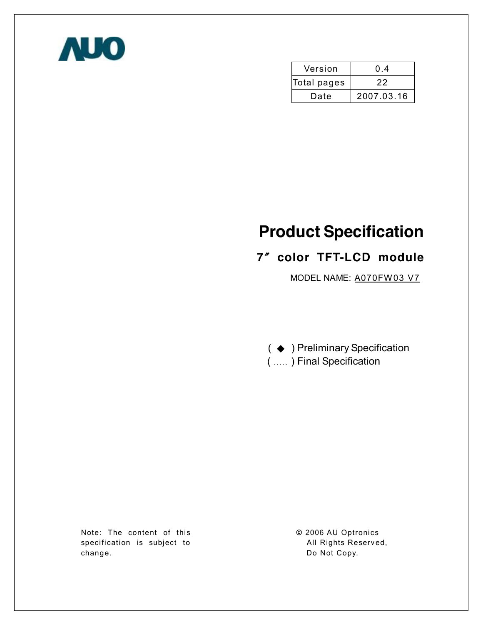

| Version     | 0.4        |  |  |
|-------------|------------|--|--|
| Total pages | 22         |  |  |
| Date        | 2007.03.16 |  |  |

# **Product Specification**

# **7**〞**color TFT-LCD module**

MODEL NAME: A070FW03 V7

( ◆ ) Preliminary Specification ( ….. ) Final Specification

Note: The content of this specification is subject to change.

**©** 2006 AU Optronics All Rights Reserved, Do Not Copy.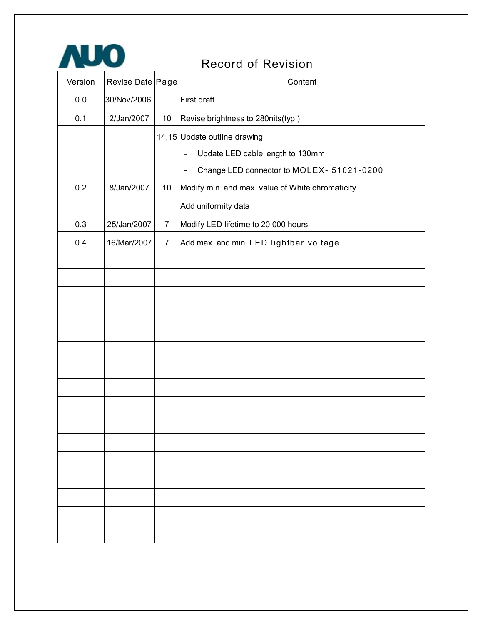

# Record of Revision

| Version | Revise Date Page |                | Content                                                                   |
|---------|------------------|----------------|---------------------------------------------------------------------------|
| $0.0\,$ | 30/Nov/2006      |                | First draft.                                                              |
| 0.1     | 2/Jan/2007       | 10             | Revise brightness to 280nits(typ.)                                        |
|         |                  |                | 14,15 Update outline drawing                                              |
|         |                  |                | Update LED cable length to 130mm<br>$\qquad \qquad \blacksquare$          |
|         |                  |                | Change LED connector to MOLEX- 51021-0200<br>$\qquad \qquad \blacksquare$ |
| 0.2     | 8/Jan/2007       | 10             | Modify min. and max. value of White chromaticity                          |
|         |                  |                | Add uniformity data                                                       |
| 0.3     | 25/Jan/2007      | $\overline{7}$ | Modify LED lifetime to 20,000 hours                                       |
| 0.4     | 16/Mar/2007      | $\overline{7}$ | Add max. and min. LED lightbar voltage                                    |
|         |                  |                |                                                                           |
|         |                  |                |                                                                           |
|         |                  |                |                                                                           |
|         |                  |                |                                                                           |
|         |                  |                |                                                                           |
|         |                  |                |                                                                           |
|         |                  |                |                                                                           |
|         |                  |                |                                                                           |
|         |                  |                |                                                                           |
|         |                  |                |                                                                           |
|         |                  |                |                                                                           |
|         |                  |                |                                                                           |
|         |                  |                |                                                                           |
|         |                  |                |                                                                           |
|         |                  |                |                                                                           |
|         |                  |                |                                                                           |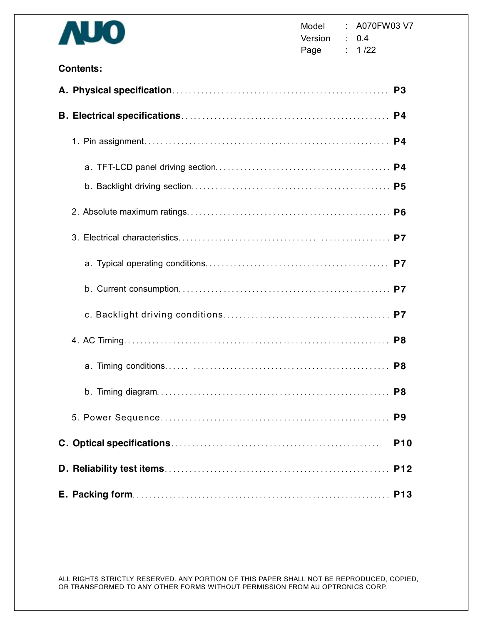

### **Contents:**

|  | <b>P10</b> |
|--|------------|
|  |            |
|  |            |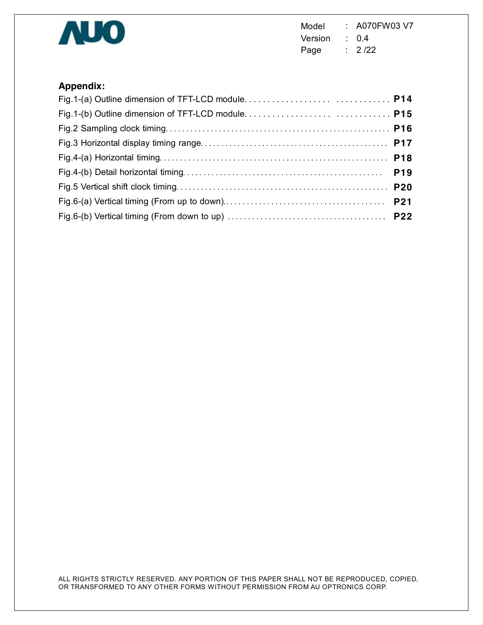

Model : A070FW03 V7 Version : 0.4 Page : 2/22

# **Appendix:**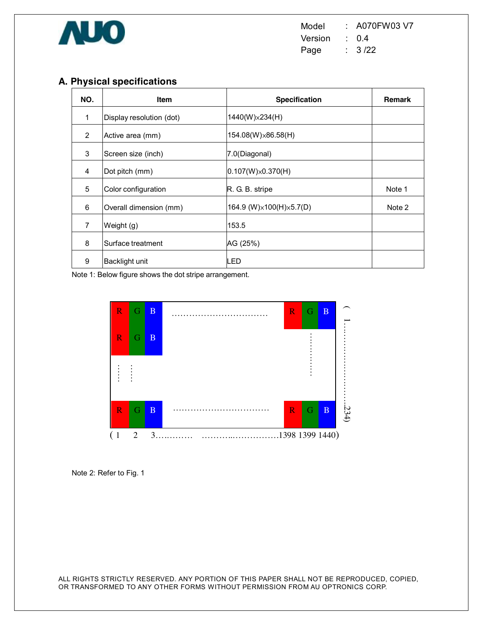

# **A. Physical specifications**

| NO.            | <b>Item</b>              | <b>Specification</b>      | <b>Remark</b> |
|----------------|--------------------------|---------------------------|---------------|
| 1              | Display resolution (dot) | 1440(W)×234(H)            |               |
| 2              | Active area (mm)         | 154.08(W)×86.58(H)        |               |
| 3              | Screen size (inch)       | 7.0(Diagonal)             |               |
| $\overline{4}$ | Dot pitch (mm)           | $0.107(W)\times 0.370(H)$ |               |
| 5              | Color configuration      | R. G. B. stripe           | Note 1        |
| 6              | Overall dimension (mm)   | 164.9 (W)×100(H)×5.7(D)   | Note 2        |
| $\overline{7}$ | Weight (g)               | 153.5                     |               |
| 8              | Surface treatment        | AG (25%)                  |               |
| 9              | Backlight unit           | LED                       |               |

Note 1: Below figure shows the dot stripe arrangement.



Note 2: Refer to Fig. 1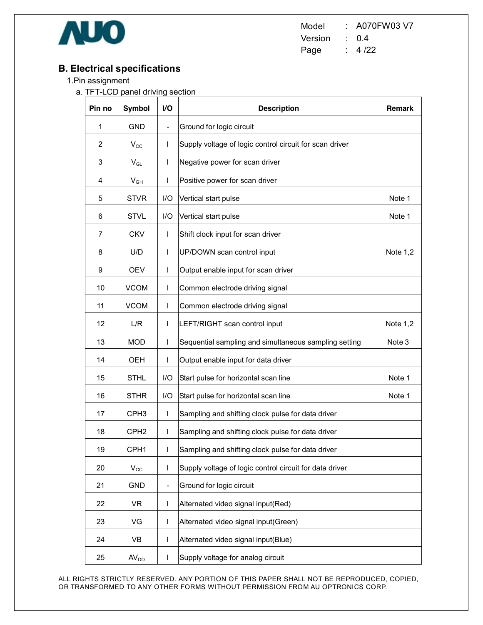

Model : A070FW03 V7 Version : 0.4 Page : 4/22

# **B. Electrical specifications**

- 1.Pin assignment
	- a. TFT-LCD panel driving section

| Pin no            | <b>Symbol</b>    | VO                       | <b>Description</b>                                      | <b>Remark</b> |
|-------------------|------------------|--------------------------|---------------------------------------------------------|---------------|
| 1                 | <b>GND</b>       | -                        | Ground for logic circuit                                |               |
| 2                 | $V_{\rm CC}$     | $\mathbf{I}$             | Supply voltage of logic control circuit for scan driver |               |
| 3                 | $V_{GL}$         | L                        | Negative power for scan driver                          |               |
| 4                 | $V_{GH}$         | I                        | Positive power for scan driver                          |               |
| 5                 | <b>STVR</b>      | I/O                      | Vertical start pulse                                    | Note 1        |
| 6                 | <b>STVL</b>      | 1/O                      | Vertical start pulse                                    | Note 1        |
| $\overline{7}$    | <b>CKV</b>       | $\mathsf{I}$             | Shift clock input for scan driver                       |               |
| 8                 | U/D              | L                        | UP/DOWN scan control input                              | Note $1,2$    |
| 9                 | <b>OEV</b>       | T                        | Output enable input for scan driver                     |               |
| 10                | <b>VCOM</b>      | $\mathbf{I}$             | Common electrode driving signal                         |               |
| 11                | <b>VCOM</b>      | T                        | Common electrode driving signal                         |               |
| $12 \overline{ }$ | L/R              | $\mathbf{I}$             | LEFT/RIGHT scan control input                           | Note $1,2$    |
| 13                | <b>MOD</b>       | L                        | Sequential sampling and simultaneous sampling setting   | Note 3        |
| 14                | OEH              | L                        | Output enable input for data driver                     |               |
| 15                | <b>STHL</b>      | I/O                      | Start pulse for horizontal scan line                    | Note 1        |
| 16                | <b>STHR</b>      | I/O                      | Start pulse for horizontal scan line                    | Note 1        |
| 17                | CPH <sub>3</sub> | $\mathbf{I}$             | Sampling and shifting clock pulse for data driver       |               |
| 18                | CPH <sub>2</sub> | T                        | Sampling and shifting clock pulse for data driver       |               |
| 19                | CPH <sub>1</sub> | L                        | Sampling and shifting clock pulse for data driver       |               |
| 20                | $V_{\rm CC}$     | $\mathbf{I}$             | Supply voltage of logic control circuit for data driver |               |
| 21                | <b>GND</b>       | -                        | Ground for logic circuit                                |               |
| 22                | <b>VR</b>        | $\overline{\phantom{a}}$ | Alternated video signal input(Red)                      |               |
| 23                | VG               | $\mathsf{I}$             | Alternated video signal input(Green)                    |               |
| 24                | VB               | T                        | Alternated video signal input(Blue)                     |               |
| 25                | AV <sub>DD</sub> | $\mathbf{I}$             | Supply voltage for analog circuit                       |               |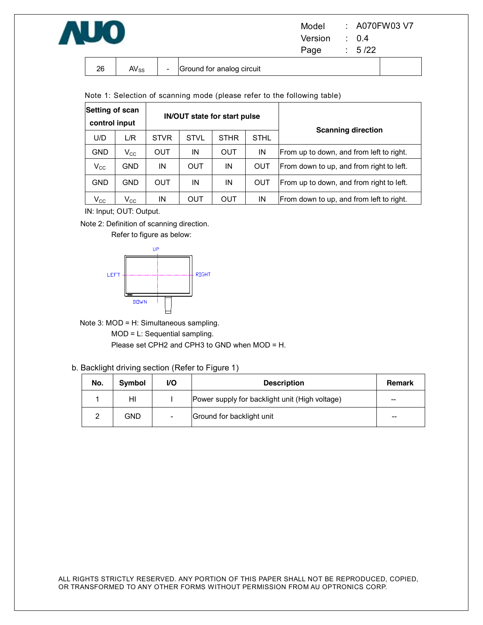

| Model   | : A070FW03 V7    |
|---------|------------------|
| Version | $\therefore$ 0.4 |
| Page    | : 5/22           |

| 26 | $AV_{SS}$ | $\overline{\phantom{0}}$ | Ground for analog circuit |  |
|----|-----------|--------------------------|---------------------------|--|

Note 1: Selection of scanning mode (please refer to the following table)

| Setting of scan<br>control input |                            |             |             | IN/OUT state for start pulse |             | <b>Scanning direction</b>                 |  |
|----------------------------------|----------------------------|-------------|-------------|------------------------------|-------------|-------------------------------------------|--|
| U/D                              | L/R                        | <b>STVR</b> | <b>STVL</b> | <b>STHR</b>                  | <b>STHL</b> |                                           |  |
| <b>GND</b>                       | $V_{\rm CC}$               | OUT         | IN          | OUT                          | IN          | IFrom up to down, and from left to right. |  |
| $V_{\rm CC}$                     | <b>GND</b>                 | ΙN          | OUT         | IN                           | <b>OUT</b>  | From down to up, and from right to left.  |  |
| <b>GND</b>                       | <b>GND</b>                 | OUT         | IN          | IN                           | <b>OUT</b>  | From up to down, and from right to left.  |  |
| $\mathsf{V}_{\mathsf{CC}}$       | $\mathsf{V}_{\mathsf{CC}}$ | ΙN          | <b>OUT</b>  | OUT                          | IN          | From down to up, and from left to right.  |  |

IN: Input; OUT: Output.

Note 2: Definition of scanning direction.





Note 3: MOD = H: Simultaneous sampling.

MOD = L: Sequential sampling.

Please set CPH2 and CPH3 to GND when MOD = H.

b. Backlight driving section (Refer to Figure 1)

| No. | <b>Symbol</b> | VO. | <b>Description</b>                             | <b>Remark</b> |
|-----|---------------|-----|------------------------------------------------|---------------|
|     | HI            |     | Power supply for backlight unit (High voltage) | $- -$         |
|     | GND           |     | Ground for backlight unit                      | $- -$         |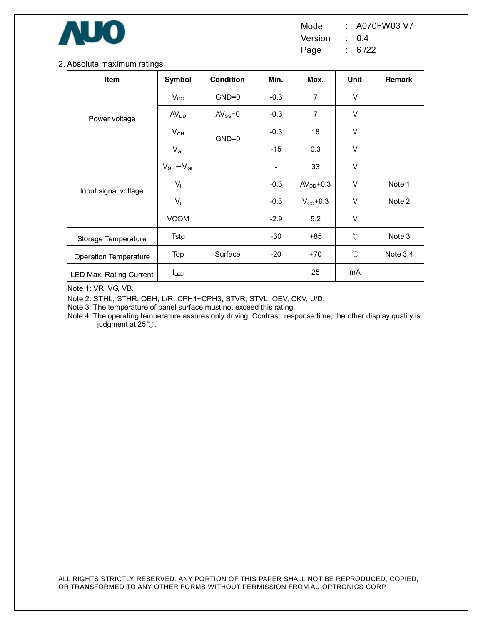

Model : A070FW03 V7 Version : 0.4

Page : 6 /22

#### 2. Absolute maximum ratings

| Item                         | Symbol                     | <b>Condition</b> | Min.                         | Max.                 | Unit         | Remark     |
|------------------------------|----------------------------|------------------|------------------------------|----------------------|--------------|------------|
|                              | $V_{\rm CC}$               | $GND=0$          | $-0.3$                       | $\overline{7}$       | V            |            |
| Power voltage                | AV <sub>DD</sub>           | $AV_{SS} = 0$    | $-0.3$                       | $\overline{7}$       | $\vee$       |            |
|                              | $\mathsf{V}_{\mathsf{GH}}$ | $GND=0$          | $-0.3$                       | 18                   | V            |            |
|                              | $\mathsf{V}_{\mathsf{GL}}$ |                  | $-15$                        | 0.3                  | $\vee$       |            |
|                              | $V_{GH}-V_{GL}$            |                  | $\qquad \qquad \blacksquare$ | 33                   | $\vee$       |            |
| Input signal voltage         | $V_i$                      |                  | $-0.3$                       | $AVDD+0.3$           | V            | Note 1     |
|                              | $V_{1}$                    |                  | $-0.3$                       | $V_{\text{CC}}$ +0.3 | $\vee$       | Note 2     |
|                              | <b>VCOM</b>                |                  | $-2.9$                       | 5.2                  | $\vee$       |            |
| Storage Temperature          | Tstg                       |                  | $-30$                        | $+85$                | $\rm{C}$     | Note 3     |
| <b>Operation Temperature</b> | Top                        | Surface          | $-20$                        | $+70$                | $^{\circ}$ C | Note $3,4$ |
| LED Max. Rating Current      | $I_{LED}$                  |                  |                              | 25                   | mA           |            |

Note 1: VR, VG, VB.

Note 2: STHL, STHR, OEH, L/R, CPH1~CPH3, STVR, STVL, OEV, CKV, U/D.

Note 3: The temperature of panel surface must not exceed this rating

Note 4: The operating temperature assures only driving. Contrast, response time, the other display quality is judgment at 25℃.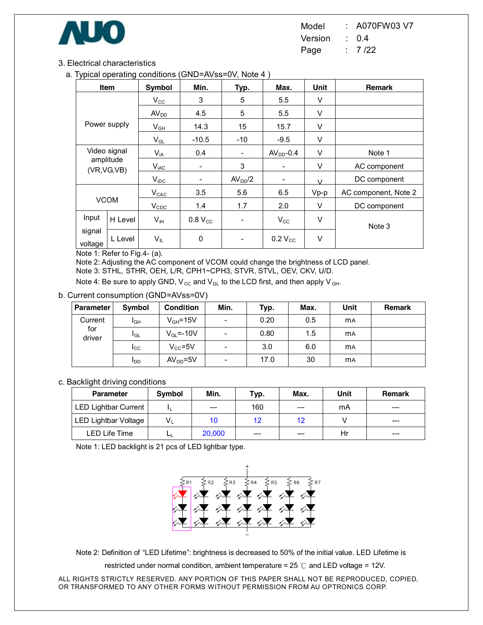

3. Electrical characteristics

a. Typical operating conditions (GND=AVss=0V, Note 4 )

| ノじ               | Item         | Symbol                     | Min.                     | Typ.                     | Max.                     | Unit          | <b>Remark</b>        |
|------------------|--------------|----------------------------|--------------------------|--------------------------|--------------------------|---------------|----------------------|
|                  |              | $V_{\rm CC}$               | 3                        | 5                        | 5.5                      | V             |                      |
|                  |              | AV <sub>DD</sub>           | 4.5                      | 5                        | 5.5                      | V             |                      |
|                  | Power supply | $V_{GH}$                   | 14.3                     | 15                       | 15.7                     | V             |                      |
|                  |              | $V_{GL}$                   | $-10.5$                  | $-10$                    | $-9.5$                   | V             |                      |
| Video signal     |              | $V_{iA}$                   | 0.4                      | $\overline{\phantom{a}}$ | $AVDD-0.4$               | V             | Note 1               |
| amplitude        | (VR, VG, VB) | $V_{iAC}$                  | $\overline{\phantom{a}}$ | 3                        | $\overline{\phantom{a}}$ | V             | AC component         |
|                  |              | $V_{\text{IDC}}$           | ۰                        | AV <sub>DD</sub> /2      | $\overline{\phantom{a}}$ | $\mathcal{U}$ | DC component         |
|                  |              | $V_{CAC}$                  | 3.5                      | 5.6                      | 6.5                      | $Vp-p$        | AC component, Note 2 |
| <b>VCOM</b>      |              | $V_{CDC}$                  | 1.4                      | 1.7                      | 2.0                      | V             | DC component         |
| Input<br>H Level |              | Vн                         | $0.8 V_{CC}$             |                          | $V_{\rm CC}$             | V             |                      |
| signal           |              |                            |                          |                          |                          |               | Note 3               |
| voltage          | L Level      | $\mathsf{V}_{\mathsf{IL}}$ | $\pmb{0}$                |                          | $0.2 V_{CC}$             | V             |                      |

Note 1: Refer to Fig.4- (a).

Note 2: Adjusting the AC component of VCOM could change the brightness of LCD panel. Note 3: STHL, STHR, OEH, L/R, CPH1~CPH3, STVR, STVL, OEV, CKV, U/D.

Note 4: Be sure to apply GND,  $V_{\text{CC}}$  and  $V_{\text{GL}}$  to the LCD first, and then apply  $V_{\text{GH}}$ .

b. Current consumption (GND=AVss=0V)

| <b>Parameter</b>         | Symbol          | <b>Condition</b> | Min.                     | Typ. | Max. | Unit      | <b>Remark</b> |
|--------------------------|-----------------|------------------|--------------------------|------|------|-----------|---------------|
| Current<br>for<br>driver | $I_{GH}$        | $V_{GH} = 15V$   | $\overline{\phantom{a}}$ | 0.20 | 0.5  | <b>MA</b> |               |
|                          | l <sub>GL</sub> | $V_{GL} = -10V$  | $\overline{\phantom{a}}$ | 0.80 | 1.5  | <b>MA</b> |               |
|                          | ICC             | $V_{CC} = 5V$    | $\overline{\phantom{a}}$ | 3.0  | 6.0  | <b>MA</b> |               |
|                          | <b>I</b> DD     | $AVDD=5V$        | $\overline{\phantom{a}}$ | 17.0 | 30   | <b>MA</b> |               |

#### c. Backlight driving conditions

| <b>Parameter</b>            | Symbol | Min.   | Typ. | Max.  | Unit | Remark  |
|-----------------------------|--------|--------|------|-------|------|---------|
| LED Lightbar Current        |        | $---$  | 160  | $---$ | mA   | $---$   |
| <b>LED Lightbar Voltage</b> | V,     | 10     | 12   | 12    |      | $---$   |
| LED Life Time               |        | 20,000 | ---  | ---   | Hr   | $- - -$ |

Note 1: LED backlight is 21 pcs of LED lightbar type.



Note 2: Definition of "LED Lifetime": brightness is decreased to 50% of the initial value. LED Lifetime is

restricted under normal condition, ambient temperature = 25 ℃ and LED voltage = 12V.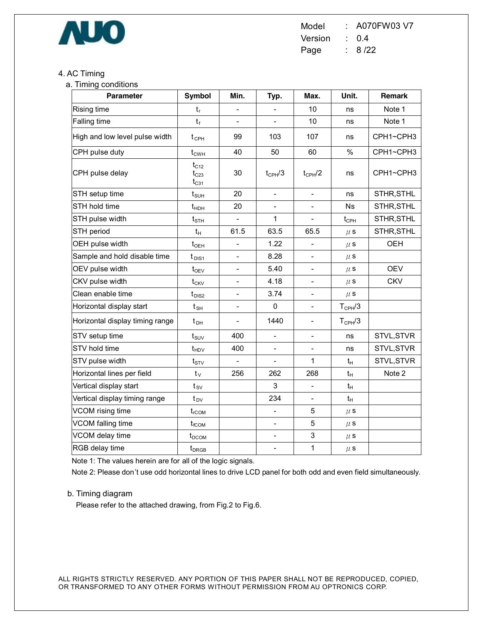

Model : A070FW03 V7 Version : 0.4 Page : 8 /22

### 4. AC Timing

a. Timing conditions

| <b>Parameter</b>                | <b>Symbol</b>                       | Min.                     | Typ.                     | Max.                     | Unit.              | Remark     |
|---------------------------------|-------------------------------------|--------------------------|--------------------------|--------------------------|--------------------|------------|
| Rising time                     | $t_{r}$                             |                          |                          | 10                       | ns                 | Note 1     |
| Falling time                    | $t_f$                               |                          |                          | 10                       | ns                 | Note 1     |
| High and low level pulse width  | $t_{\text{CPH}}$                    | 99                       | 103                      | 107                      | ns                 | CPH1~CPH3  |
| CPH pulse duty                  | $t_{\text{CWH}}$                    | 40                       | 50                       | 60                       | $\%$               | CPH1~CPH3  |
| CPH pulse delay                 | $t_{C12}$<br>$t_{C23}$<br>$t_{C31}$ | 30                       | $t_{CPH}/3$              | $t_{CPH}/2$              | ns                 | CPH1~CPH3  |
| STH setup time                  | $t_{\scriptscriptstyle\text{SUH}}$  | 20                       | $\overline{a}$           | $\overline{a}$           | ns                 | STHR, STHL |
| STH hold time                   | $t_{HDH}$                           | 20                       | $\overline{\phantom{0}}$ | $\overline{\phantom{0}}$ | <b>Ns</b>          | STHR, STHL |
| STH pulse width                 | $t_{\scriptscriptstyle\text{STH}}$  | $\overline{a}$           | 1                        | $\overline{a}$           | $t_{\text{CPH}}$   | STHR, STHL |
| STH period                      | $t_H$                               | 61.5                     | 63.5                     | 65.5                     | $\mu$ S            | STHR, STHL |
| OEH pulse width                 | $t_{\text{OEH}}$                    |                          | 1.22                     |                          | $\mu$ S            | OEH        |
| Sample and hold disable time    | $t_{\text{DIS1}}$                   | $\overline{\phantom{a}}$ | 8.28                     | $\overline{\phantom{0}}$ | $\mu$ S            |            |
| OEV pulse width                 | $t_{\rm OEV}$                       |                          | 5.40                     |                          | $\mu$ s            | <b>OEV</b> |
| CKV pulse width                 | $t_{CKV}$                           | $\overline{\phantom{a}}$ | 4.18                     | $\overline{\phantom{0}}$ | $\mu$ s            | <b>CKV</b> |
| Clean enable time               | $t_{DIS2}$                          |                          | 3.74                     |                          | $\mu$ S            |            |
| Horizontal display start        | $t_{\text{SH}}$                     | $\overline{\phantom{a}}$ | $\pmb{0}$                | $\frac{1}{2}$            | $T_{\text{CPH}}/3$ |            |
| Horizontal display timing range | $t_{\text{DH}}$                     | $\overline{\phantom{a}}$ | 1440                     | $\overline{\phantom{0}}$ | $T_{\text{CPH}}/3$ |            |
| STV setup time                  | $t_{\text{SUV}}$                    | 400                      | $\overline{\phantom{0}}$ | $\frac{1}{2}$            | ns                 | STVL, STVR |
| STV hold time                   | $t_{HDV}$                           | 400                      | $\overline{\phantom{0}}$ |                          | ns                 | STVL, STVR |
| STV pulse width                 | $t_{\text{STV}}$                    | $\overline{\phantom{a}}$ | $\overline{\phantom{0}}$ | 1                        | $t_H$              | STVL, STVR |
| Horizontal lines per field      | $t_{\vee}$                          | 256                      | 262                      | 268                      | $t_{H}$            | Note 2     |
| Vertical display start          | $t_{sv}$                            |                          | 3                        | $\overline{a}$           | $t_H$              |            |
| Vertical display timing range   | $t_{\text{DV}}$                     |                          | 234                      |                          | $t_H$              |            |
| VCOM rising time                | $t_{rCOM}$                          |                          | $\overline{a}$           | 5                        | $\mu$ s            |            |
| VCOM falling time               | $t_{\text{fCOM}}$                   |                          | ÷,                       | 5                        | $\mu$ s            |            |
| VCOM delay time                 | $t_{DCOM}$                          |                          | $\overline{a}$           | 3                        | $\mu$ S            |            |
| RGB delay time                  | $t_{DRGB}$                          |                          | $\overline{\phantom{0}}$ | 1                        | $\mu$ s            |            |

Note 1: The values herein are for all of the logic signals.

Note 2: Please don't use odd horizontal lines to drive LCD panel for both odd and even field simultaneously.

#### b. Timing diagram

Please refer to the attached drawing, from Fig.2 to Fig.6.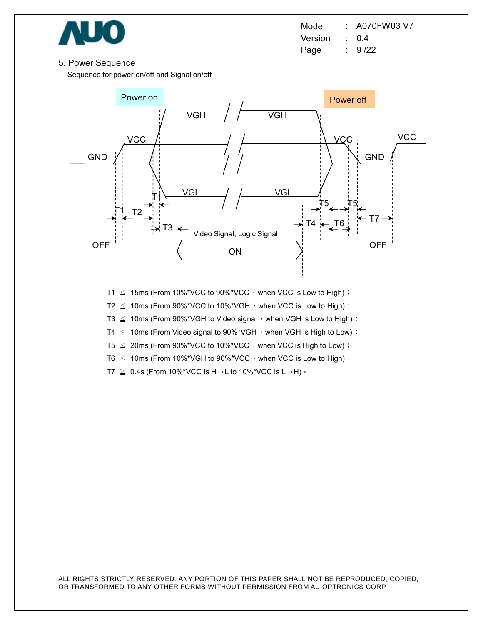

Model : A070FW03 V7 Version : 0.4 Page : 9/22

#### 5. Power Sequence

Sequence for power on/off and Signal on/off



T1  $\leq$  15ms (From 10%\*VCC to 90%\*VCC, when VCC is Low to High);

T2  $\leq$  10ms (From 90%\*VCC to 10%\*VGH, when VCC is Low to High);

T3  $\leq$  10ms (From 90%\*VGH to Video signal, when VGH is Low to High);

T4  $\leq$  10ms (From Video signal to 90%\*VGH, when VGH is High to Low);

T5  $\leq$  20ms (From 90%\*VCC to 10%\*VCC, when VCC is High to Low);

T6  $\leq$  10ms (From 10%\*VGH to 90%\*VCC, when VCC is Low to High) ;

T7  $\geq$  0.4s (From 10%\*VCC is H→L to 10%\*VCC is L→H)  $\cdot$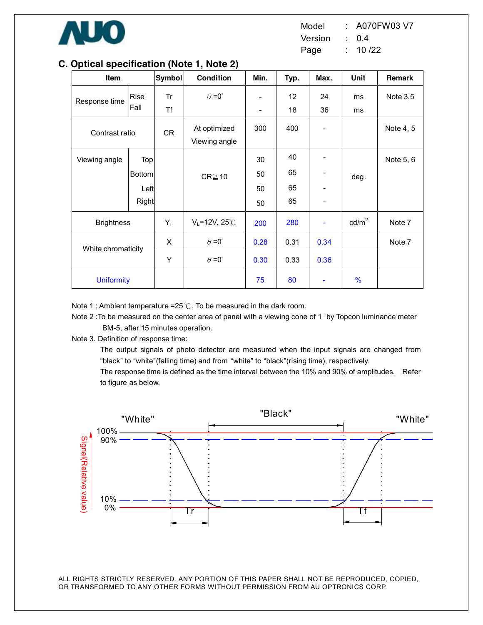

#### **Item Symbol Condition Min. Typ. Max. Unit Remark** Response time Rise Fall Tr Tf  $\theta = 0^\circ$ - 12 18 24 36 ms ms Note 3,5 Contrast ratio  $CR$  At optimized Viewing angle 300 400 - Note 4, 5 Viewing angle | Top Bottom Left Right  $CR \geq 10$ 30 50 50 50 40 65 65 65 - - - deg. Note 5, 6 Brightness YL VL=12V, 25℃ 200 280 - cd/m<sup>2</sup> Note 7  $X$   $\theta = 0^{\circ}$  0.28 0.31 0.34 White chromaticity  $Y$   $\theta = 0^{\circ}$  0.30 0.33 0.36 Note 7 Uniformity 75 80 - %

### **C. Optical specification (Note 1, Note 2)**

Note 1 : Ambient temperature =25℃. To be measured in the dark room.

Note 2 : To be measured on the center area of panel with a viewing cone of 1 °by Topcon luminance meter BM-5, after 15 minutes operation.

Note 3. Definition of response time:

The output signals of photo detector are measured when the input signals are changed from "black" to "white"(falling time) and from "white" to "black"(rising time), respectively.

The response time is defined as the time interval between the 10% and 90% of amplitudes. Refer to figure as below.

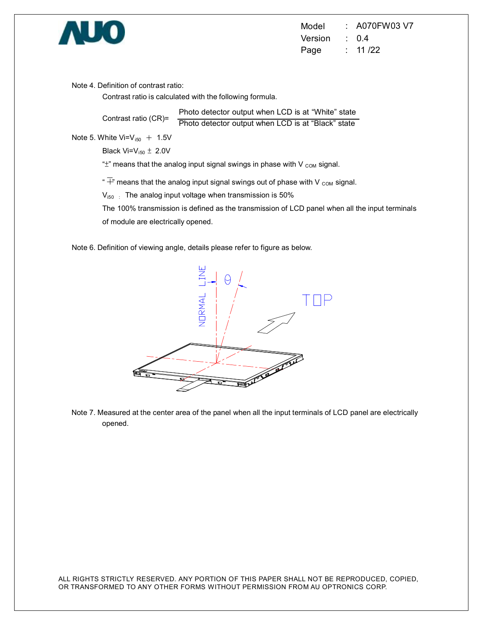

Note 4. Definition of contrast ratio:

Contrast ratio is calculated with the following formula.

Contrast ratio (CR)= Photo detector output when LCD is at "White" state Photo detector output when LCD is at "Black" state

Note 5. White  $Vi=V_{i50} + 1.5V$ 

Black  $Vi=V_{i50} \pm 2.0V$ 

" $\pm$ " means that the analog input signal swings in phase with V  $_{COM}$  signal.

" $\overline{+}$ " means that the analog input signal swings out of phase with V  $_{\text{COM}}$  signal.

 $V_{150}$ : The analog input voltage when transmission is 50%

The 100% transmission is defined as the transmission of LCD panel when all the input terminals of module are electrically opened.

Note 6. Definition of viewing angle, details please refer to figure as below.



Note 7. Measured at the center area of the panel when all the input terminals of LCD panel are electrically opened.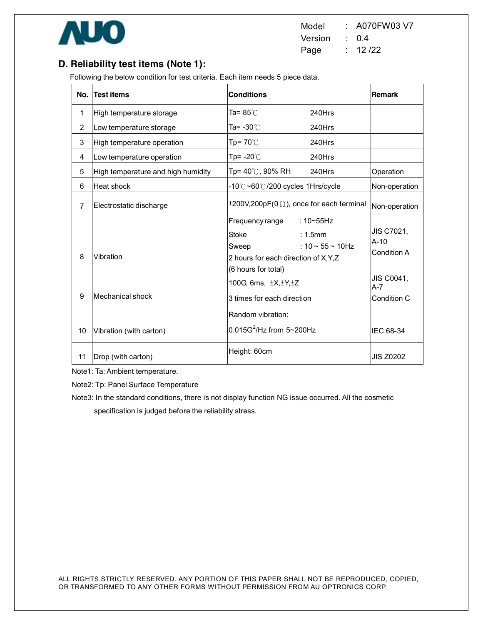

Model : A070FW03 V7 Version : 0.4 Page : 12 /22

# **D. Reliability test items (Note 1):**

Following the below condition for test criteria. Each item needs 5 piece data.

| No.            | <b>Test items</b>                  | <b>Conditions</b>                                                                                                                                                    | <b>Remark</b>                        |
|----------------|------------------------------------|----------------------------------------------------------------------------------------------------------------------------------------------------------------------|--------------------------------------|
| 1              | High temperature storage           | Ta= 85℃<br>240Hrs                                                                                                                                                    |                                      |
| 2              | Low temperature storage            | Ta= -30℃<br>240Hrs                                                                                                                                                   |                                      |
| 3              | High temperature operation         | Tp= $70^{\circ}$ C<br>240Hrs                                                                                                                                         |                                      |
| 4              | Low temperature operation          | Tp= $-20^{\circ}$ C<br>240Hrs                                                                                                                                        |                                      |
| 5              | High temperature and high humidity | Tp= $40^{\circ}$ C, 90% RH<br>240Hrs                                                                                                                                 | Operation                            |
| 6              | Heat shock                         | -10℃~60℃/200 cycles 1Hrs/cycle                                                                                                                                       | Non-operation                        |
| $\overline{7}$ | Electrostatic discharge            | $\pm 200V, 200pF(0 \Omega)$ , once for each terminal                                                                                                                 | Non-operation                        |
| 8              | Vibration                          | Frequency range<br>$:10\nthicksim55Hz$<br><b>Stoke</b><br>$: 1.5$ mm<br>: $10 - 55 - 10$ Hz<br>Sweep<br>2 hours for each direction of X, Y, Z<br>(6 hours for total) | JIS C7021,<br>$A-10$<br>Condition A  |
| 9              | Mechanical shock                   | 100G, 6ms, $\pm X, \pm Y, \pm Z$<br>3 times for each direction                                                                                                       | JIS C0041,<br>$A - 7$<br>Condition C |
| 10             | Vibration (with carton)            | Random vibration:<br>$0.015G^2$ /Hz from $5 \sim 200Hz$                                                                                                              | IFC 68-34                            |
| 11             | Drop (with carton)                 | <b>JIS Z0202</b>                                                                                                                                                     |                                      |

Note1: Ta: Ambient temperature.

Note2: Tp: Panel Surface Temperature

Note3: In the standard conditions, there is not display function NG issue occurred. All the cosmetic specification is judged before the reliability stress.

1 corner, 3 edges, 6 surfaces, 6 surfaces, 6 surfaces, 6 surfaces, 6 surfaces, 6 surfaces, 6 surfaces, 6 surfaces,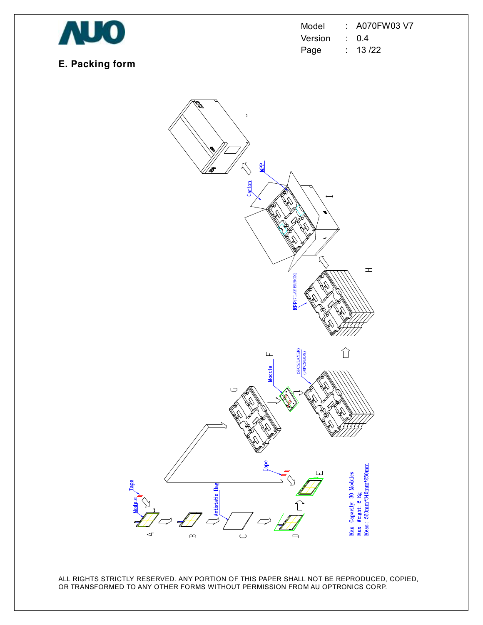

Model : A070FW03 V7 Version : 0.4 Page : 13 /22

# **E. Packing form**

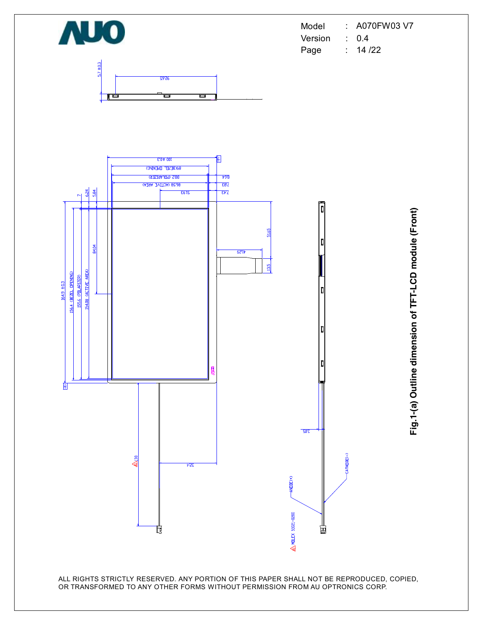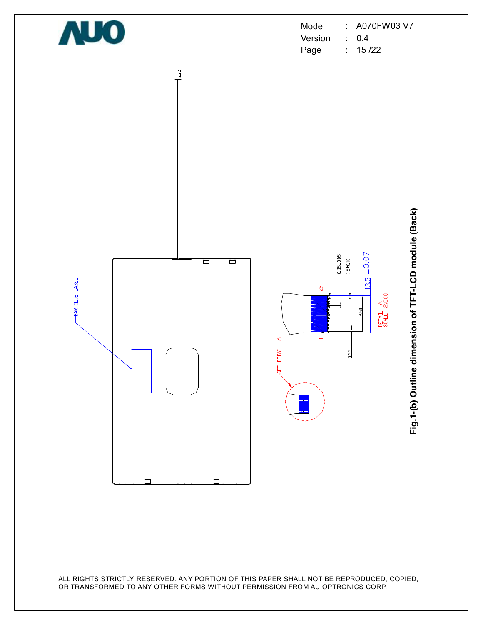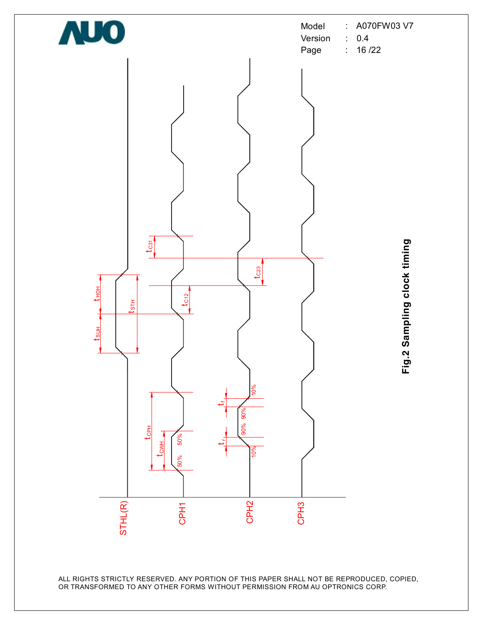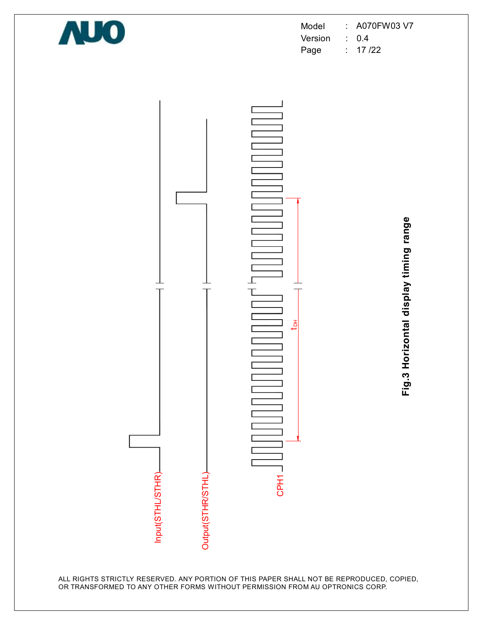

Model : A070FW03 V7 Version : 0.4 Page : 17 /22



**Fig.3 H oriz o ntal dis pla y timin g ra n**

**g e**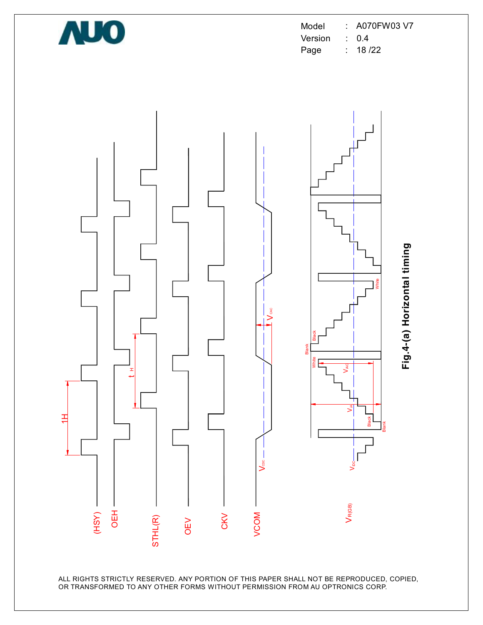

Model : A070FW03 V7 Version : 0.4 Page : 18 /22

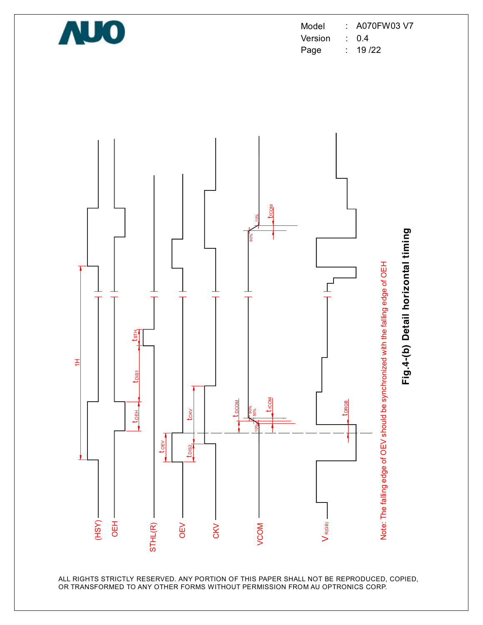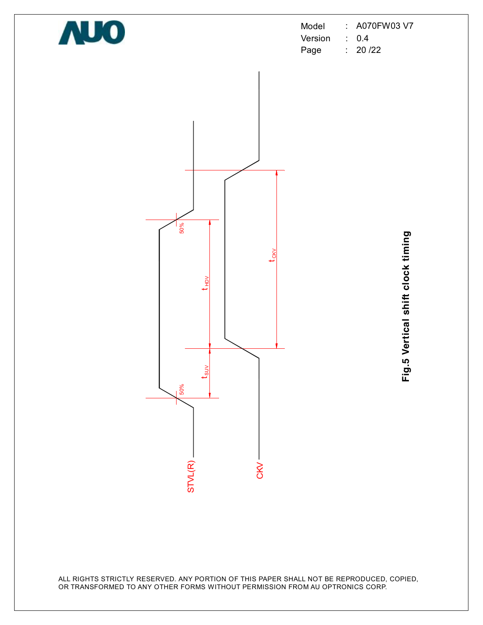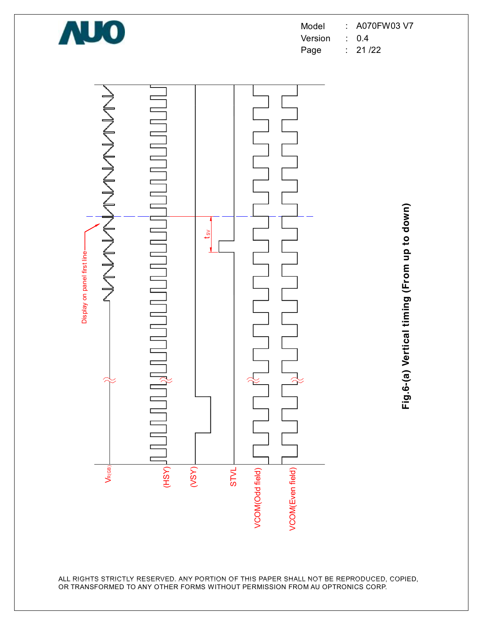

Model : A070FW03 V7 Version : 0.4

Page : 21 /22